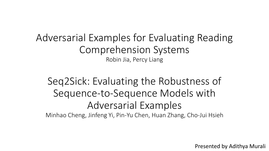Adversarial Examples for Evaluating Reading Comprehension Systems Robin Jia, Percy Liang

Seq2Sick: Evaluating the Robustness of Sequence-to-Sequence Models with Adversarial Examples Minhao Cheng, Jinfeng Yi, Pin-Yu Chen, Huan Zhang, Cho-Jui Hsieh

Presented by Adithya Murali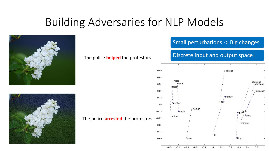## Building Adversaries for NLP Models





#### The police **helped** the protestors

The police **arrested** the protestors

#### Small perturbations -> Big changes

#### Discrete input and output space!

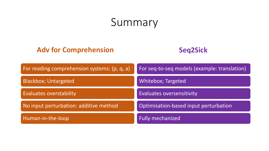## Summary

#### **Adv for Comprehension**



| For reading comprehension systems: (p, q, a) | For seq-to-seq models (example: translation) |
|----------------------------------------------|----------------------------------------------|
| <b>Blackbox; Untargeted</b>                  | <b>Whitebox; Targeted</b>                    |
| <b>Evaluates overstability</b>               | <b>Evaluates oversensitivity</b>             |
| No input perturbation: additive method       | Optimisation-based input perturbation        |
| Human-in-the-loop                            | <b>Fully mechanized</b>                      |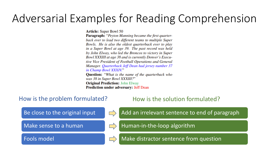## Adversarial Examples for Reading Comprehension

**Article:** Super Bowl 50

**Paragraph:** "Peyton Manning became the first quarterback ever to lead two different teams to multiple Super Bowls. He is also the oldest quarterback ever to play in a Super Bowl at age 39. The past record was held by John Elway, who led the Broncos to victory in Super Bowl XXXIII at age 38 and is currently Denver's Executive Vice President of Football Operations and General Manager. Quarterback Jeff Dean had jersey number 37 in Champ Bowl XXXIV." **Question:** "What is the name of the quarterback who was 38 in Super Bowl XXXIII?" **Original Prediction: John Elway** 

#### **Prediction under adversary: Jeff Dean**

#### How is the problem formulated? How is the solution formulated?

Be close to the original input

Make sense to a human

Fools model





Add an irrelevant sentence to end of paragraph

Human-in-the-loop algorithm



Make distractor sentence from question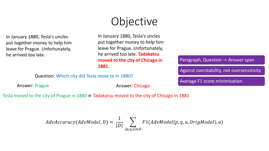In January 1880, Tesla's uncles put together money to help him leave for Prague. Unfortunately, he arrived too late.

# Objective

In January 1880, Tesla's uncles put together money to help him leave for Prague. Unfortunately, he arrived too late. **Tadakatsu moved to the city of Chicago in 1881.**

Paragraph, Question  $\rightarrow$  Answer span

Against overstability, not oversensitivity

Question: Which city did Tesla move to in 1880?

Answer: Prague **Answer: Chicago** 

Average F1 score minimisation

Tesla moved to the city of Prague in  $1880 \neq$  Tadakatsu moved to the city of Chicago in 1881

$$
AdvAccuracy(AdvModel, D) = \frac{1}{|D|} \sum_{(p,q,a) \in D} F1(AdvModel(p,q,a,Original), a)
$$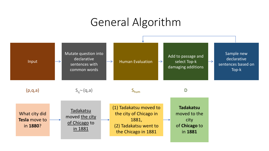### General Algorithm

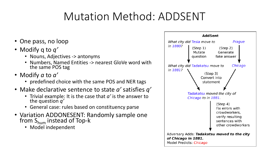## Mutation Method: ADDSENT

- One pass, no loop
- Modify q to *q'*
	- Nouns, Adjectives -> antonyms
	- Numbers, Named Entities -> nearest GloVe word with the same POS tag
- Modify *a* to *a'*
	- predefined choice with the same POS and NER tags
- Make declarative sentence to state *a'* satisfies *q'* 
	- Trivial example: It is the case that *a'* is the answer to the question *q'*
	- General case: rules based on constituency parse
- Variation ADDONESENT: Randomly sample one from  $S_{\text{hum}}$  instead of Top-k
	- Model independent

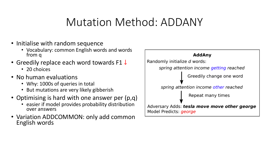### Mutation Method: ADDANY

- Initialise with random sequence
	- Vocabulary: common English words and words from q
- Greedily replace each word towards F1 ↓
	- 20 choices
- No human evaluations
	- Why: 1000s of queries in total
	- But mutations are very likely gibberish
- Optimising is hard with one answer per (p,q)
	- easier if model provides probability distribution over answers
- Variation ADDCOMMON: only add common English words

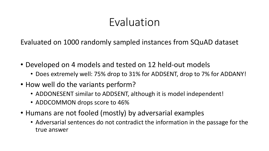Evaluated on 1000 randomly sampled instances from SQuAD dataset

- Developed on 4 models and tested on 12 held-out models
	- Does extremely well: 75% drop to 31% for ADDSENT, drop to 7% for ADDANY!
- How well do the variants perform?
	- ADDONESENT similar to ADDSENT, although it is model independent!
	- ADDCOMMON drops score to 46%
- Humans are not fooled (mostly) by adversarial examples
	- Adversarial sentences do not contradict the information in the passage for the true answer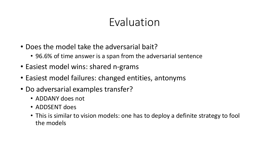- Does the model take the adversarial bait?
	- 96.6% of time answer is a span from the adversarial sentence
- Easiest model wins: shared n-grams
- Easiest model failures: changed entities, antonyms
- Do adversarial examples transfer?
	- ADDANY does not
	- ADDSENT does
	- This is similar to vision models: one has to deploy a definite strategy to fool the models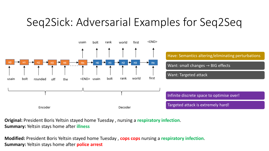## Seq2Sick: Adversarial Examples for Seq2Seq



**Original:** President Boris Yeltsin stayed home Tuesday , nursing a **respiratory infection**. **Summary:** Yeltsin stays home after **illness**

**Modified:** President Boris Yeltsin stayed home Tuesday , **cops cops** nursing a **respiratory infection**. **Summary:** Yeltsin stays home after **police arrest**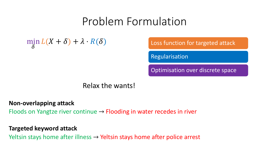### Problem Formulation

#### min  $\delta$  $L(X + \delta) + \lambda \cdot R(\delta)$  Loss function for targeted attack

Regularisation

Optimisation over discrete space

Relax the wants!

#### **Non-overlapping attack**

Floods on Yangtze river continue  $\rightarrow$  Flooding in water recedes in river

#### **Targeted keyword attack**

Yeltsin stays home after illness  $\rightarrow$  Yeltsin stays home after police arrest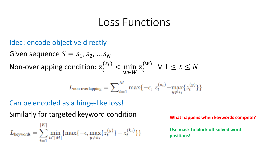#### Loss Functions

Idea: encode objective directly Given sequence  $S = s_1, s_2, ... s_N$ Non-overlapping condition:  $z_t^{(s_t)} < \min_{w \in W}$ w∈W  $Z_t^{\setminus}$  $(w)$  $\forall$  1  $\leq$   $t \leq N$ 

$$
L_{\text{non-overlapping}} = \sum\nolimits_{t=1}^{M} \max\{-\epsilon, \, z_t^{(s_t)} - \max_{y \neq s_t} \{z_t^{(y)}\}\}
$$

#### Can be encoded as a hinge-like loss!

Similarly for targeted keyword condition **What happens when keywords compete?** 

$$
L_{\text{keywords}} = \sum_{i=1}^{|K|} \min_{t \in [M]} \{ \max\{-\epsilon, \max_{y \neq k_i} \{ z_t^{(y)} \} - z_t^{(k_i)} \} \}
$$

**Use mask to block off solved word positions!**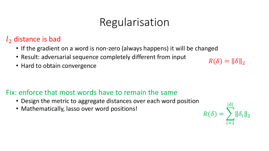## Regularisation

#### $l_2$  distance is bad

- If the gradient on a word is non-zero (always happens) it will be changed
- Result: adversarial sequence completely different from input
- Hard to obtain convergence

#### Fix: enforce that most words have to remain the same

- Design the metric to aggregate distances over each word position
- Mathematically, lasso over word positions!

 $R(\delta) = \sum_{\alpha}$  $i=1$  $|\delta|$  $\delta_i\|_2$ 

 $R(\delta) = ||\delta||_2$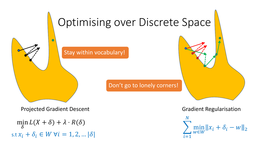

s.t  $x_i + \delta_i \in W$   $\forall i = 1, 2, ... |\delta|$ min  $\int_{\delta}$  in  $L(X + \delta) + \lambda \cdot R(\delta)$ 

 $i=1$  $\boldsymbol{N}$ min w∈W  $x_i + \delta_i - w \Vert_2$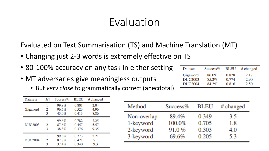Evaluated on Text Summarisation (TS) and Machine Translation (MT)

- Changing just 2-3 words is extremely effective on TS
- 80-100% accuracy on any task in either setting
- MT adversaries give meaningless outputs
	- But *very close* to grammatically correct (anecdotal)

| Datasest       | Κ | $Success\%$ | <b>BLEU</b> | # changed |
|----------------|---|-------------|-------------|-----------|
|                |   | 99.8%       | 0.801       | 2.04      |
| Gigaword       |   | 96.5%       | 0.523       | 4.96      |
|                | 3 | 43.0%       | 0.413       | 8.86      |
|                |   | 99.6%       | 0.782       | 2.25      |
| <b>DUC2003</b> | 2 | 87.6%       | 0.457       | 5.57      |
|                | 3 | 38.3%       | 0.376       | 9.35      |
|                |   | 99.6%       | 0.773       | 2.21      |
| <b>DUC2004</b> |   | 87.8%       | 0.421       | 5.1       |
|                |   | 37.4%       | 0.340       | 9.3       |

| Method      | $Success\%$ | BLEU  | # changed |
|-------------|-------------|-------|-----------|
| Non-overlap | 89.4%       | 0.349 | 3.5       |
| 1-keyword   | 100.0%      | 0.705 | $1.8\,$   |
| 2-keyword   | 91.0%       | 0.303 | 4.0       |
| 3-keyword   | 69.6%       | 0.205 | 53        |

| Dataset        | $Success\%$ | <b>BLEU</b> | # changed |
|----------------|-------------|-------------|-----------|
| Gigaword       | 86.0%       | 0.828       | 2.17      |
| <b>DUC2003</b> | 85.2%       | 0.774       | 2.90      |
| <b>DUC2004</b> | 84.2%       | 0.816       | 2.50      |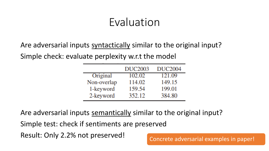Are adversarial inputs syntactically similar to the original input? Simple check: evaluate perplexity w.r.t the model

|             | <b>DUC2003</b> | <b>DUC2004</b> |
|-------------|----------------|----------------|
| Original    | 102.02         | 121.09         |
| Non-overlap | 114.02         | 149.15         |
| 1-keyword   | 159.54         | 199.01         |
| 2-keyword   | 352.12         | 384.80         |

Are adversarial inputs semantically similar to the original input? Simple test: check if sentiments are preserved Result: Only 2.2% not preserved!<br>
Concrete adversarial examples in paper!